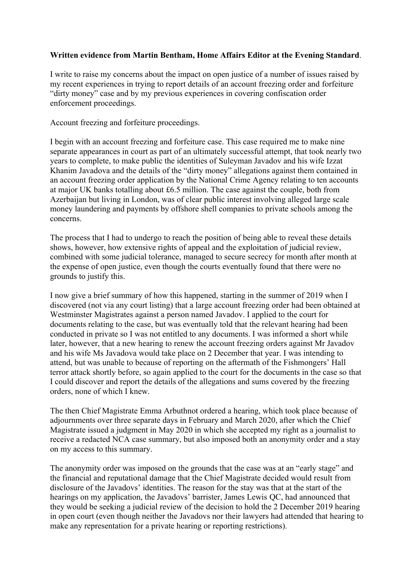## **Written evidence from Martin Bentham, Home Affairs Editor at the Evening Standard**.

I write to raise my concerns about the impact on open justice of a number of issues raised by my recent experiences in trying to report details of an account freezing order and forfeiture "dirty money" case and by my previous experiences in covering confiscation order enforcement proceedings.

Account freezing and forfeiture proceedings.

I begin with an account freezing and forfeiture case. This case required me to make nine separate appearances in court as part of an ultimately successful attempt, that took nearly two years to complete, to make public the identities of Suleyman Javadov and his wife Izzat Khanim Javadova and the details of the "dirty money" allegations against them contained in an account freezing order application by the National Crime Agency relating to ten accounts at major UK banks totalling about £6.5 million. The case against the couple, both from Azerbaijan but living in London, was of clear public interest involving alleged large scale money laundering and payments by offshore shell companies to private schools among the concerns.

The process that I had to undergo to reach the position of being able to reveal these details shows, however, how extensive rights of appeal and the exploitation of judicial review, combined with some judicial tolerance, managed to secure secrecy for month after month at the expense of open justice, even though the courts eventually found that there were no grounds to justify this.

I now give a brief summary of how this happened, starting in the summer of 2019 when I discovered (not via any court listing) that a large account freezing order had been obtained at Westminster Magistrates against a person named Javadov. I applied to the court for documents relating to the case, but was eventually told that the relevant hearing had been conducted in private so I was not entitled to any documents. I was informed a short while later, however, that a new hearing to renew the account freezing orders against Mr Javadov and his wife Ms Javadova would take place on 2 December that year. I was intending to attend, but was unable to because of reporting on the aftermath of the Fishmongers' Hall terror attack shortly before, so again applied to the court for the documents in the case so that I could discover and report the details of the allegations and sums covered by the freezing orders, none of which I knew.

The then Chief Magistrate Emma Arbuthnot ordered a hearing, which took place because of adjournments over three separate days in February and March 2020, after which the Chief Magistrate issued a judgment in May 2020 in which she accepted my right as a journalist to receive a redacted NCA case summary, but also imposed both an anonymity order and a stay on my access to this summary.

The anonymity order was imposed on the grounds that the case was at an "early stage" and the financial and reputational damage that the Chief Magistrate decided would result from disclosure of the Javadovs' identities. The reason for the stay was that at the start of the hearings on my application, the Javadovs' barrister, James Lewis QC, had announced that they would be seeking a judicial review of the decision to hold the 2 December 2019 hearing in open court (even though neither the Javadovs nor their lawyers had attended that hearing to make any representation for a private hearing or reporting restrictions).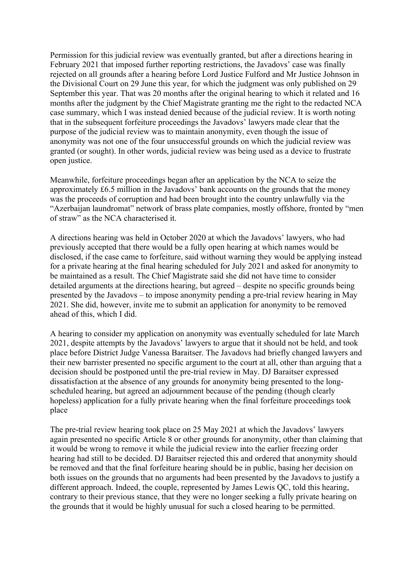Permission for this judicial review was eventually granted, but after a directions hearing in February 2021 that imposed further reporting restrictions, the Javadovs' case was finally rejected on all grounds after a hearing before Lord Justice Fulford and Mr Justice Johnson in the Divisional Court on 29 June this year, for which the judgment was only published on 29 September this year. That was 20 months after the original hearing to which it related and 16 months after the judgment by the Chief Magistrate granting me the right to the redacted NCA case summary, which I was instead denied because of the judicial review. It is worth noting that in the subsequent forfeiture proceedings the Javadovs' lawyers made clear that the purpose of the judicial review was to maintain anonymity, even though the issue of anonymity was not one of the four unsuccessful grounds on which the judicial review was granted (or sought). In other words, judicial review was being used as a device to frustrate open justice.

Meanwhile, forfeiture proceedings began after an application by the NCA to seize the approximately £6.5 million in the Javadovs' bank accounts on the grounds that the money was the proceeds of corruption and had been brought into the country unlawfully via the "Azerbaijan laundromat" network of brass plate companies, mostly offshore, fronted by "men of straw" as the NCA characterised it.

A directions hearing was held in October 2020 at which the Javadovs' lawyers, who had previously accepted that there would be a fully open hearing at which names would be disclosed, if the case came to forfeiture, said without warning they would be applying instead for a private hearing at the final hearing scheduled for July 2021 and asked for anonymity to be maintained as a result. The Chief Magistrate said she did not have time to consider detailed arguments at the directions hearing, but agreed – despite no specific grounds being presented by the Javadovs – to impose anonymity pending a pre-trial review hearing in May 2021. She did, however, invite me to submit an application for anonymity to be removed ahead of this, which I did.

A hearing to consider my application on anonymity was eventually scheduled for late March 2021, despite attempts by the Javadovs' lawyers to argue that it should not be held, and took place before District Judge Vanessa Baraitser. The Javadovs had briefly changed lawyers and their new barrister presented no specific argument to the court at all, other than arguing that a decision should be postponed until the pre-trial review in May. DJ Baraitser expressed dissatisfaction at the absence of any grounds for anonymity being presented to the longscheduled hearing, but agreed an adjournment because of the pending (though clearly hopeless) application for a fully private hearing when the final forfeiture proceedings took place

The pre-trial review hearing took place on 25 May 2021 at which the Javadovs' lawyers again presented no specific Article 8 or other grounds for anonymity, other than claiming that it would be wrong to remove it while the judicial review into the earlier freezing order hearing had still to be decided. DJ Baraitser rejected this and ordered that anonymity should be removed and that the final forfeiture hearing should be in public, basing her decision on both issues on the grounds that no arguments had been presented by the Javadovs to justify a different approach. Indeed, the couple, represented by James Lewis QC, told this hearing, contrary to their previous stance, that they were no longer seeking a fully private hearing on the grounds that it would be highly unusual for such a closed hearing to be permitted.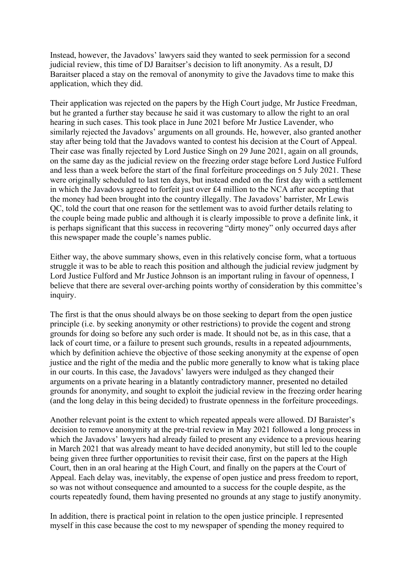Instead, however, the Javadovs' lawyers said they wanted to seek permission for a second judicial review, this time of DJ Baraitser's decision to lift anonymity. As a result, DJ Baraitser placed a stay on the removal of anonymity to give the Javadovs time to make this application, which they did.

Their application was rejected on the papers by the High Court judge, Mr Justice Freedman, but he granted a further stay because he said it was customary to allow the right to an oral hearing in such cases. This took place in June 2021 before Mr Justice Lavender, who similarly rejected the Javadovs' arguments on all grounds. He, however, also granted another stay after being told that the Javadovs wanted to contest his decision at the Court of Appeal. Their case was finally rejected by Lord Justice Singh on 29 June 2021, again on all grounds, on the same day as the judicial review on the freezing order stage before Lord Justice Fulford and less than a week before the start of the final forfeiture proceedings on 5 July 2021. These were originally scheduled to last ten days, but instead ended on the first day with a settlement in which the Javadovs agreed to forfeit just over £4 million to the NCA after accepting that the money had been brought into the country illegally. The Javadovs' barrister, Mr Lewis QC, told the court that one reason for the settlement was to avoid further details relating to the couple being made public and although it is clearly impossible to prove a definite link, it is perhaps significant that this success in recovering "dirty money" only occurred days after this newspaper made the couple's names public.

Either way, the above summary shows, even in this relatively concise form, what a tortuous struggle it was to be able to reach this position and although the judicial review judgment by Lord Justice Fulford and Mr Justice Johnson is an important ruling in favour of openness, I believe that there are several over-arching points worthy of consideration by this committee's inquiry.

The first is that the onus should always be on those seeking to depart from the open justice principle (i.e. by seeking anonymity or other restrictions) to provide the cogent and strong grounds for doing so before any such order is made. It should not be, as in this case, that a lack of court time, or a failure to present such grounds, results in a repeated adjournments, which by definition achieve the objective of those seeking anonymity at the expense of open justice and the right of the media and the public more generally to know what is taking place in our courts. In this case, the Javadovs' lawyers were indulged as they changed their arguments on a private hearing in a blatantly contradictory manner, presented no detailed grounds for anonymity, and sought to exploit the judicial review in the freezing order hearing (and the long delay in this being decided) to frustrate openness in the forfeiture proceedings.

Another relevant point is the extent to which repeated appeals were allowed. DJ Baraister's decision to remove anonymity at the pre-trial review in May 2021 followed a long process in which the Javadovs' lawyers had already failed to present any evidence to a previous hearing in March 2021 that was already meant to have decided anonymity, but still led to the couple being given three further opportunities to revisit their case, first on the papers at the High Court, then in an oral hearing at the High Court, and finally on the papers at the Court of Appeal. Each delay was, inevitably, the expense of open justice and press freedom to report, so was not without consequence and amounted to a success for the couple despite, as the courts repeatedly found, them having presented no grounds at any stage to justify anonymity.

In addition, there is practical point in relation to the open justice principle. I represented myself in this case because the cost to my newspaper of spending the money required to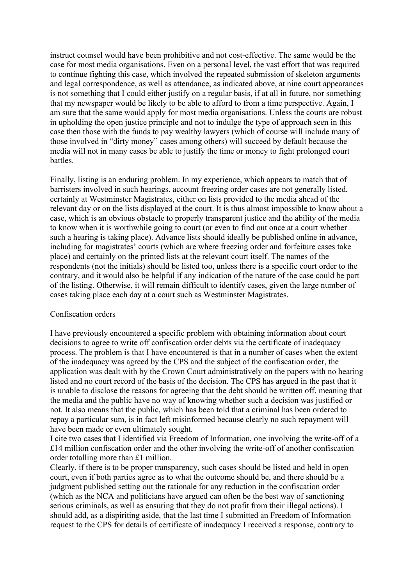instruct counsel would have been prohibitive and not cost-effective. The same would be the case for most media organisations. Even on a personal level, the vast effort that was required to continue fighting this case, which involved the repeated submission of skeleton arguments and legal correspondence, as well as attendance, as indicated above, at nine court appearances is not something that I could either justify on a regular basis, if at all in future, nor something that my newspaper would be likely to be able to afford to from a time perspective. Again, I am sure that the same would apply for most media organisations. Unless the courts are robust in upholding the open justice principle and not to indulge the type of approach seen in this case then those with the funds to pay wealthy lawyers (which of course will include many of those involved in "dirty money" cases among others) will succeed by default because the media will not in many cases be able to justify the time or money to fight prolonged court **battles** 

Finally, listing is an enduring problem. In my experience, which appears to match that of barristers involved in such hearings, account freezing order cases are not generally listed, certainly at Westminster Magistrates, either on lists provided to the media ahead of the relevant day or on the lists displayed at the court. It is thus almost impossible to know about a case, which is an obvious obstacle to properly transparent justice and the ability of the media to know when it is worthwhile going to court (or even to find out once at a court whether such a hearing is taking place). Advance lists should ideally be published online in advance, including for magistrates' courts (which are where freezing order and forfeiture cases take place) and certainly on the printed lists at the relevant court itself. The names of the respondents (not the initials) should be listed too, unless there is a specific court order to the contrary, and it would also be helpful if any indication of the nature of the case could be part of the listing. Otherwise, it will remain difficult to identify cases, given the large number of cases taking place each day at a court such as Westminster Magistrates.

## Confiscation orders

I have previously encountered a specific problem with obtaining information about court decisions to agree to write off confiscation order debts via the certificate of inadequacy process. The problem is that I have encountered is that in a number of cases when the extent of the inadequacy was agreed by the CPS and the subject of the confiscation order, the application was dealt with by the Crown Court administratively on the papers with no hearing listed and no court record of the basis of the decision. The CPS has argued in the past that it is unable to disclose the reasons for agreeing that the debt should be written off, meaning that the media and the public have no way of knowing whether such a decision was justified or not. It also means that the public, which has been told that a criminal has been ordered to repay a particular sum, is in fact left misinformed because clearly no such repayment will have been made or even ultimately sought.

I cite two cases that I identified via Freedom of Information, one involving the write-off of a £14 million confiscation order and the other involving the write-off of another confiscation order totalling more than £1 million.

Clearly, if there is to be proper transparency, such cases should be listed and held in open court, even if both parties agree as to what the outcome should be, and there should be a judgment published setting out the rationale for any reduction in the confiscation order (which as the NCA and politicians have argued can often be the best way of sanctioning serious criminals, as well as ensuring that they do not profit from their illegal actions). I should add, as a dispiriting aside, that the last time I submitted an Freedom of Information request to the CPS for details of certificate of inadequacy I received a response, contrary to